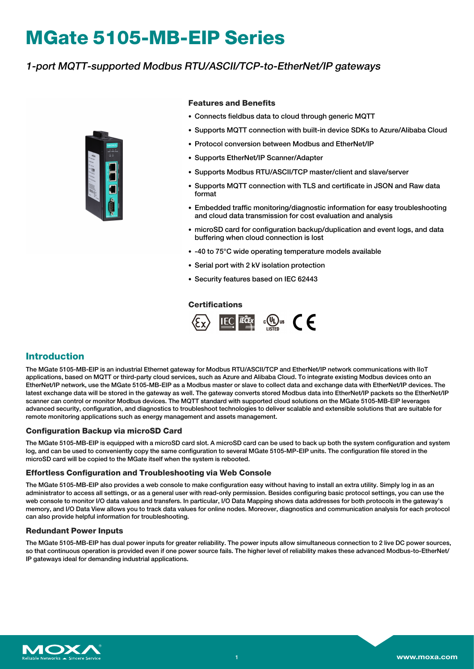# **MGate 5105-MB-EIP Series**

## 1-port MQTT-supported Modbus RTU/ASCII/TCP-to-EtherNet/IP gateways



#### **Features and Benefits**

- Connects fieldbus data to cloud through generic MQTT
- Supports MQTT connection with built-in device SDKs to Azure/Alibaba Cloud
- Protocol conversion between Modbus and EtherNet/IP
- Supports EtherNet/IP Scanner/Adapter
- Supports Modbus RTU/ASCII/TCP master/client and slave/server
- Supports MQTT connection with TLS and certificate in JSON and Raw data format
- Embedded traffic monitoring/diagnostic information for easy troubleshooting and cloud data transmission for cost evaluation and analysis
- microSD card for configuration backup/duplication and event logs, and data buffering when cloud connection is lost
- -40 to 75°C wide operating temperature models available
- Serial port with 2 kV isolation protection
- Security features based on IEC 62443

#### **Certifications**



## **Introduction**

The MGate 5105-MB-EIP is an industrial Ethernet gateway for Modbus RTU/ASCII/TCP and EtherNet/IP network communications with IIoT applications, based on MQTT or third-party cloud services, such as Azure and Alibaba Cloud. To integrate existing Modbus devices onto an EtherNet/IP network, use the MGate 5105-MB-EIP as a Modbus master or slave to collect data and exchange data with EtherNet/IP devices. The latest exchange data will be stored in the gateway as well. The gateway converts stored Modbus data into EtherNet/IP packets so the EtherNet/IP scanner can control or monitor Modbus devices. The MQTT standard with supported cloud solutions on the MGate 5105-MB-EIP leverages advanced security, configuration, and diagnostics to troubleshoot technologies to deliver scalable and extensible solutions that are suitable for remote monitoring applications such as energy management and assets management.

#### **Configuration Backup via microSD Card**

The MGate 5105-MB-EIP is equipped with a microSD card slot. A microSD card can be used to back up both the system configuration and system log, and can be used to conveniently copy the same configuration to several MGate 5105-MP-EIP units. The configuration file stored in the microSD card will be copied to the MGate itself when the system is rebooted.

#### **Effortless Configuration and Troubleshooting via Web Console**

The MGate 5105-MB-EIP also provides a web console to make configuration easy without having to install an extra utility. Simply log in as an administrator to access all settings, or as a general user with read-only permission. Besides configuring basic protocol settings, you can use the web console to monitor I/O data values and transfers. In particular, I/O Data Mapping shows data addresses for both protocols in the gateway's memory, and I/O Data View allows you to track data values for online nodes. Moreover, diagnostics and communication analysis for each protocol can also provide helpful information for troubleshooting.

#### **Redundant Power Inputs**

The MGate 5105-MB-EIP has dual power inputs for greater reliability. The power inputs allow simultaneous connection to 2 live DC power sources, so that continuous operation is provided even if one power source fails. The higher level of reliability makes these advanced Modbus-to-EtherNet/ IP gateways ideal for demanding industrial applications.

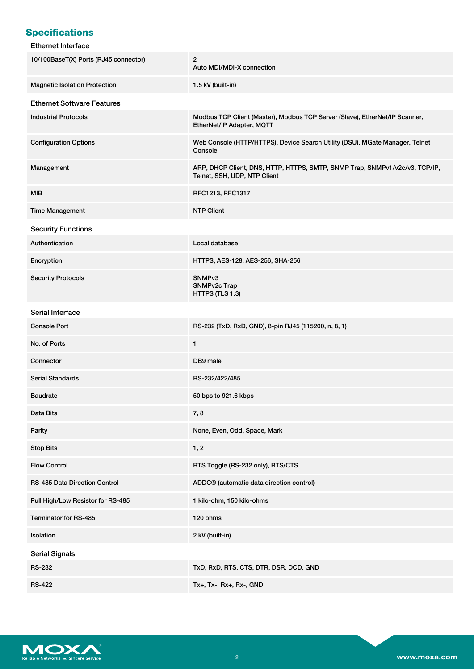# **Specifications**

#### Ethernet Interface

| 10/100BaseT(X) Ports (RJ45 connector) | 2<br>Auto MDI/MDI-X connection                                                                              |
|---------------------------------------|-------------------------------------------------------------------------------------------------------------|
| <b>Magnetic Isolation Protection</b>  | 1.5 kV (built-in)                                                                                           |
| <b>Ethernet Software Features</b>     |                                                                                                             |
| <b>Industrial Protocols</b>           | Modbus TCP Client (Master), Modbus TCP Server (Slave), EtherNet/IP Scanner,<br>EtherNet/IP Adapter, MQTT    |
| <b>Configuration Options</b>          | Web Console (HTTP/HTTPS), Device Search Utility (DSU), MGate Manager, Telnet<br>Console                     |
| Management                            | ARP, DHCP Client, DNS, HTTP, HTTPS, SMTP, SNMP Trap, SNMPv1/v2c/v3, TCP/IP,<br>Telnet, SSH, UDP, NTP Client |
| <b>MIB</b>                            | RFC1213, RFC1317                                                                                            |
| <b>Time Management</b>                | <b>NTP Client</b>                                                                                           |
| <b>Security Functions</b>             |                                                                                                             |
| Authentication                        | Local database                                                                                              |
| Encryption                            | HTTPS, AES-128, AES-256, SHA-256                                                                            |
| <b>Security Protocols</b>             | SNMP <sub>v3</sub><br>SNMPv2c Trap<br>HTTPS (TLS 1.3)                                                       |
| Serial Interface                      |                                                                                                             |
| <b>Console Port</b>                   | RS-232 (TxD, RxD, GND), 8-pin RJ45 (115200, n, 8, 1)                                                        |
| No. of Ports                          | 1                                                                                                           |
| Connector                             | DB9 male                                                                                                    |
| <b>Serial Standards</b>               | RS-232/422/485                                                                                              |
| <b>Baudrate</b>                       | 50 bps to 921.6 kbps                                                                                        |
| Data Bits                             | 7,8                                                                                                         |
| Parity                                | None, Even, Odd, Space, Mark                                                                                |
| <b>Stop Bits</b>                      | 1, 2                                                                                                        |
| <b>Flow Control</b>                   | RTS Toggle (RS-232 only), RTS/CTS                                                                           |
| RS-485 Data Direction Control         | ADDC <sup>®</sup> (automatic data direction control)                                                        |
| Pull High/Low Resistor for RS-485     | 1 kilo-ohm, 150 kilo-ohms                                                                                   |
| Terminator for RS-485                 | 120 ohms                                                                                                    |
| Isolation                             | 2 kV (built-in)                                                                                             |
| <b>Serial Signals</b>                 |                                                                                                             |
| <b>RS-232</b>                         | TxD, RxD, RTS, CTS, DTR, DSR, DCD, GND                                                                      |
| <b>RS-422</b>                         | Tx+, Tx-, Rx+, Rx-, GND                                                                                     |

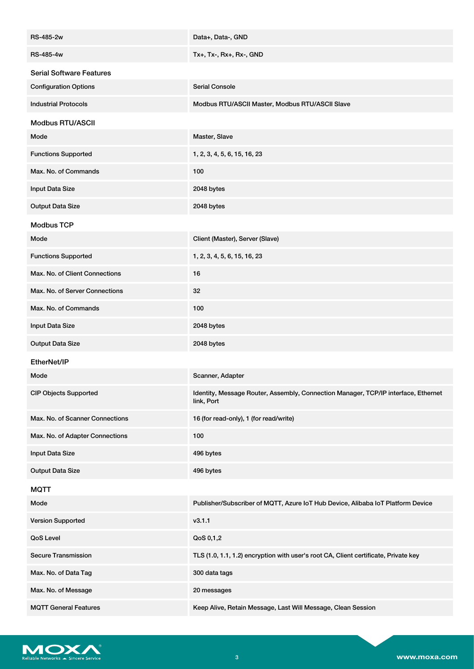| <b>RS-485-2w</b>                | Data+, Data-, GND                                                                                |
|---------------------------------|--------------------------------------------------------------------------------------------------|
| <b>RS-485-4w</b>                | Tx+, Tx-, Rx+, Rx-, GND                                                                          |
| <b>Serial Software Features</b> |                                                                                                  |
| <b>Configuration Options</b>    | <b>Serial Console</b>                                                                            |
| <b>Industrial Protocols</b>     | Modbus RTU/ASCII Master, Modbus RTU/ASCII Slave                                                  |
| <b>Modbus RTU/ASCII</b>         |                                                                                                  |
| Mode                            | Master, Slave                                                                                    |
| <b>Functions Supported</b>      | 1, 2, 3, 4, 5, 6, 15, 16, 23                                                                     |
| Max. No. of Commands            | 100                                                                                              |
| Input Data Size                 | 2048 bytes                                                                                       |
| <b>Output Data Size</b>         | 2048 bytes                                                                                       |
| <b>Modbus TCP</b>               |                                                                                                  |
| Mode                            | Client (Master), Server (Slave)                                                                  |
| <b>Functions Supported</b>      | 1, 2, 3, 4, 5, 6, 15, 16, 23                                                                     |
| Max. No. of Client Connections  | 16                                                                                               |
| Max. No. of Server Connections  | 32                                                                                               |
| Max. No. of Commands            | 100                                                                                              |
| Input Data Size                 | 2048 bytes                                                                                       |
| <b>Output Data Size</b>         | 2048 bytes                                                                                       |
| EtherNet/IP                     |                                                                                                  |
| Mode                            | Scanner, Adapter                                                                                 |
| <b>CIP Objects Supported</b>    | Identity, Message Router, Assembly, Connection Manager, TCP/IP interface, Ethernet<br>link, Port |
| Max. No. of Scanner Connections | 16 (for read-only), 1 (for read/write)                                                           |
| Max. No. of Adapter Connections | 100                                                                                              |
| Input Data Size                 | 496 bytes                                                                                        |
| <b>Output Data Size</b>         | 496 bytes                                                                                        |
| <b>MQTT</b>                     |                                                                                                  |
| Mode                            | Publisher/Subscriber of MQTT, Azure IoT Hub Device, Alibaba IoT Platform Device                  |
| <b>Version Supported</b>        | v3.1.1                                                                                           |
| QoS Level                       | QoS 0,1,2                                                                                        |
| <b>Secure Transmission</b>      | TLS (1.0, 1.1, 1.2) encryption with user's root CA, Client certificate, Private key              |
| Max. No. of Data Tag            | 300 data tags                                                                                    |
| Max. No. of Message             | 20 messages                                                                                      |
| <b>MQTT General Features</b>    | Keep Alive, Retain Message, Last Will Message, Clean Session                                     |

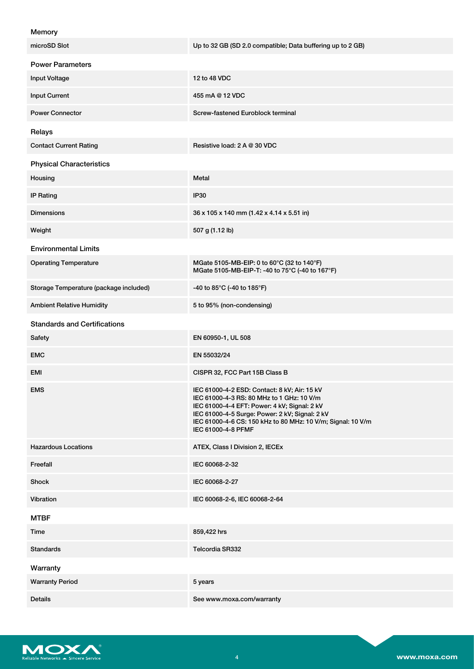| Memory |  |
|--------|--|
|--------|--|

| microSD Slot                           | Up to 32 GB (SD 2.0 compatible; Data buffering up to 2 GB)                                                                                                                                                                                                                       |
|----------------------------------------|----------------------------------------------------------------------------------------------------------------------------------------------------------------------------------------------------------------------------------------------------------------------------------|
| <b>Power Parameters</b>                |                                                                                                                                                                                                                                                                                  |
| <b>Input Voltage</b>                   | 12 to 48 VDC                                                                                                                                                                                                                                                                     |
| <b>Input Current</b>                   | 455 mA @ 12 VDC                                                                                                                                                                                                                                                                  |
| <b>Power Connector</b>                 | Screw-fastened Euroblock terminal                                                                                                                                                                                                                                                |
| Relays                                 |                                                                                                                                                                                                                                                                                  |
| <b>Contact Current Rating</b>          | Resistive load: 2 A @ 30 VDC                                                                                                                                                                                                                                                     |
| <b>Physical Characteristics</b>        |                                                                                                                                                                                                                                                                                  |
| Housing                                | Metal                                                                                                                                                                                                                                                                            |
| <b>IP Rating</b>                       | <b>IP30</b>                                                                                                                                                                                                                                                                      |
| <b>Dimensions</b>                      | 36 x 105 x 140 mm (1.42 x 4.14 x 5.51 in)                                                                                                                                                                                                                                        |
| Weight                                 | 507 g (1.12 lb)                                                                                                                                                                                                                                                                  |
| <b>Environmental Limits</b>            |                                                                                                                                                                                                                                                                                  |
| <b>Operating Temperature</b>           | MGate 5105-MB-EIP: 0 to 60°C (32 to 140°F)<br>MGate 5105-MB-EIP-T: -40 to 75°C (-40 to 167°F)                                                                                                                                                                                    |
| Storage Temperature (package included) | -40 to 85°C (-40 to 185°F)                                                                                                                                                                                                                                                       |
| <b>Ambient Relative Humidity</b>       | 5 to 95% (non-condensing)                                                                                                                                                                                                                                                        |
| <b>Standards and Certifications</b>    |                                                                                                                                                                                                                                                                                  |
| Safety                                 | EN 60950-1, UL 508                                                                                                                                                                                                                                                               |
| <b>EMC</b>                             | EN 55032/24                                                                                                                                                                                                                                                                      |
| EMI                                    | CISPR 32, FCC Part 15B Class B                                                                                                                                                                                                                                                   |
| <b>EMS</b>                             | IEC 61000-4-2 ESD: Contact: 8 kV; Air: 15 kV<br>IEC 61000-4-3 RS: 80 MHz to 1 GHz: 10 V/m<br>IEC 61000-4-4 EFT: Power: 4 kV; Signal: 2 kV<br>IEC 61000-4-5 Surge: Power: 2 kV; Signal: 2 kV<br>IEC 61000-4-6 CS: 150 kHz to 80 MHz: 10 V/m; Signal: 10 V/m<br>IEC 61000-4-8 PFMF |
| <b>Hazardous Locations</b>             | ATEX, Class I Division 2, IECEx                                                                                                                                                                                                                                                  |
| Freefall                               | IEC 60068-2-32                                                                                                                                                                                                                                                                   |
| Shock                                  | IEC 60068-2-27                                                                                                                                                                                                                                                                   |
| Vibration                              | IEC 60068-2-6, IEC 60068-2-64                                                                                                                                                                                                                                                    |
| <b>MTBF</b>                            |                                                                                                                                                                                                                                                                                  |
| Time                                   | 859,422 hrs                                                                                                                                                                                                                                                                      |
| <b>Standards</b>                       | Telcordia SR332                                                                                                                                                                                                                                                                  |
| Warranty                               |                                                                                                                                                                                                                                                                                  |
| <b>Warranty Period</b>                 | 5 years                                                                                                                                                                                                                                                                          |
| Details                                | See www.moxa.com/warranty                                                                                                                                                                                                                                                        |

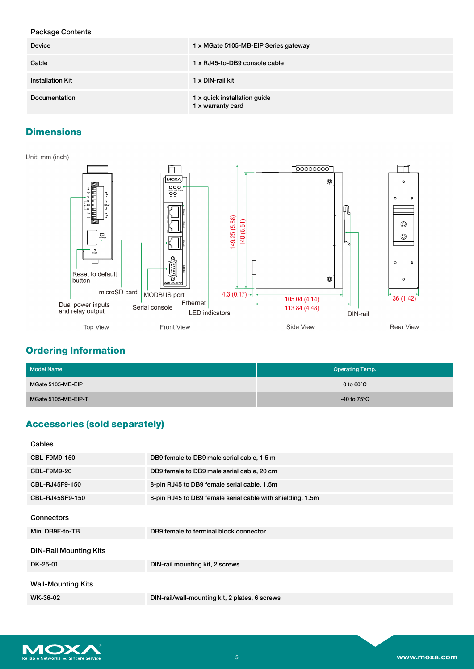### Package Contents

| <b>Device</b>           | 1 x MGate 5105-MB-EIP Series gateway              |  |
|-------------------------|---------------------------------------------------|--|
| Cable                   | 1 x RJ45-to-DB9 console cable                     |  |
| <b>Installation Kit</b> | 1 x DIN-rail kit                                  |  |
| Documentation           | 1 x quick installation guide<br>1 x warranty card |  |

## **Dimensions**



## **Ordering Information**

| Model Name          | <b>Operating Temp.</b> |
|---------------------|------------------------|
| MGate 5105-MB-EIP   | 0 to $60^{\circ}$ C    |
| MGate 5105-MB-EIP-T | -40 to $75^{\circ}$ C  |

# **Accessories (sold separately)**